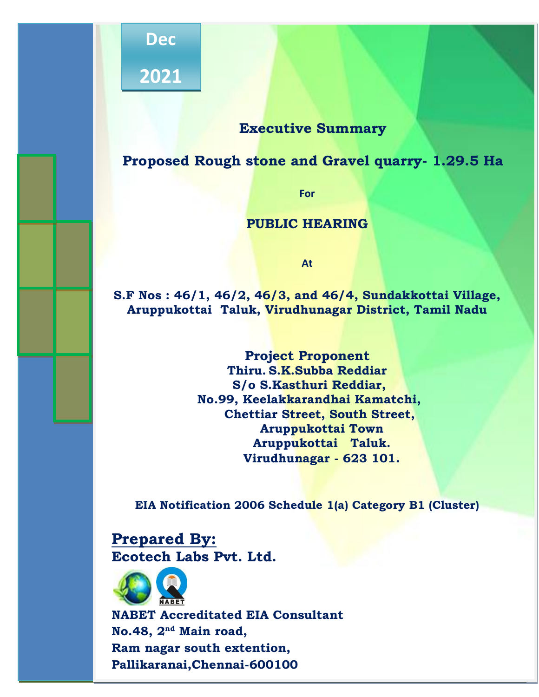

**Dec**

**2021**

# **Executive Summary**

FORM 1 & IA

# **Proposed Rough stone and Gravel quarry- 1.29.5 Ha**

**For**

## **PUBLIC HEARING**

**At**

**S.F Nos : 46/1, 46/2, 46/3, and 46/4, Sundakkottai Village, Aruppukottai Taluk, Virudhunagar District, Tamil Nadu**

> **Project Proponent Thiru. S.K.Subba Reddiar S/o S.Kasthuri Reddiar, No.99, Keelakkarandhai Kamatchi, Chettiar Street, South Street, Aruppukottai Town Aruppukottai Taluk. Virudhunagar - 623 101.**

**EIA Notification 2006 Schedule 1(a) Category B1 (Cluster)**

**Prepared By: Ecotech Labs Pvt. Ltd.**



**NABET Accreditated EIA Consultant No.48, 2nd Main road, Ram nagar south extention, Pallikaranai,Chennai-600100**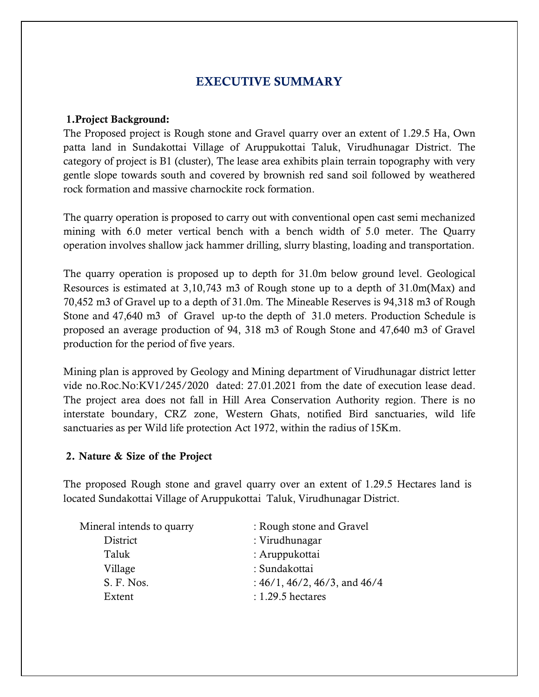# EXECUTIVE SUMMARY

#### 1.Project Background:

The Proposed project is Rough stone and Gravel quarry over an extent of 1.29.5 Ha, Own patta land in Sundakottai Village of Aruppukottai Taluk, Virudhunagar District. The category of project is B1 (cluster), The lease area exhibits plain terrain topography with very gentle slope towards south and covered by brownish red sand soil followed by weathered rock formation and massive charnockite rock formation.

The quarry operation is proposed to carry out with conventional open cast semi mechanized mining with 6.0 meter vertical bench with a bench width of 5.0 meter. The Quarry operation involves shallow jack hammer drilling, slurry blasting, loading and transportation.

The quarry operation is proposed up to depth for 31.0m below ground level. Geological Resources is estimated at 3,10,743 m3 of Rough stone up to a depth of 31.0m(Max) and 70,452 m3 of Gravel up to a depth of 31.0m. The Mineable Reserves is 94,318 m3 of Rough Stone and 47,640 m3 of Gravel up-to the depth of 31.0 meters. Production Schedule is proposed an average production of 94, 318 m3 of Rough Stone and 47,640 m3 of Gravel production for the period of five years.

Mining plan is approved by Geology and Mining department of Virudhunagar district letter vide no.Roc.No:KV1/245/2020 dated: 27.01.2021 from the date of execution lease dead. The project area does not fall in Hill Area Conservation Authority region. There is no interstate boundary, CRZ zone, Western Ghats, notified Bird sanctuaries, wild life sanctuaries as per Wild life protection Act 1972, within the radius of 15Km.

#### 2. Nature & Size of the Project

The proposed Rough stone and gravel quarry over an extent of 1.29.5 Hectares land is located Sundakottai Village of Aruppukottai Taluk, Virudhunagar District.

| Mineral intends to quarry | : Rough stone and Gravel                |
|---------------------------|-----------------------------------------|
| District                  | : Virudhunagar                          |
| Taluk                     | : Aruppukottai                          |
| Village                   | : Sundakottai                           |
| S. F. Nos.                | : $46/1$ , $46/2$ , $46/3$ , and $46/4$ |
| Extent                    | $: 1.29.5$ hectares                     |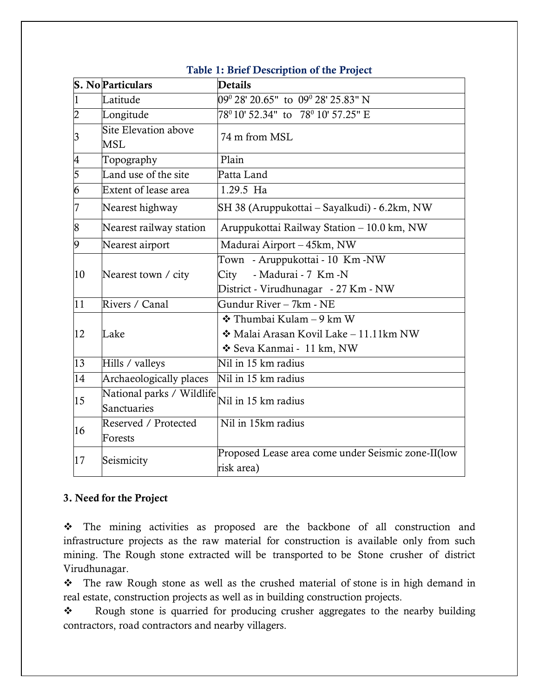|                 | <b>S. No Particulars</b>                 | <b>Details</b>                                                                                          |  |
|-----------------|------------------------------------------|---------------------------------------------------------------------------------------------------------|--|
|                 | Latitude                                 | $09^{\circ}$ 28' 20.65" to $09^{\circ}$ 28' 25.83" N                                                    |  |
| $\overline{2}$  | Longitude                                | $78^{\circ}$ 10' 52.34" to $78^{\circ}$ 10' 57.25" E                                                    |  |
| $\vert 3 \vert$ | Site Elevation above<br><b>MSL</b>       | 74 m from MSL                                                                                           |  |
| $\overline{4}$  | Topography                               | Plain                                                                                                   |  |
| $\overline{5}$  | Land use of the site                     | Patta Land                                                                                              |  |
| 6               | Extent of lease area                     | 1.29.5 Ha                                                                                               |  |
| 7               | Nearest highway                          | SH 38 (Aruppukottai – Sayalkudi) - 6.2km, NW                                                            |  |
| 8               | Nearest railway station                  | Aruppukottai Railway Station - 10.0 km, NW                                                              |  |
| $\overline{9}$  | Nearest airport                          | Madurai Airport - 45km, NW                                                                              |  |
| 10              | Nearest town / city                      | Town - Aruppukottai - 10 Km -NW<br>- Madurai - 7 Km - N<br>City<br>District - Virudhunagar - 27 Km - NW |  |
| 11              | Rivers / Canal                           | Gundur River – 7km - NE                                                                                 |  |
| 12              | Lake                                     | $\div$ Thumbai Kulam – 9 km W<br>Malai Arasan Kovil Lake - 11.11km NW<br>❖ Seva Kanmai - 11 km, NW      |  |
| 13              | Hills / valleys                          | Nil in 15 km radius                                                                                     |  |
| 14              | Archaeologically places                  | Nil in 15 km radius                                                                                     |  |
| 15              | National parks / Wildlife<br>Sanctuaries | Nil in 15 km radius                                                                                     |  |
| 16              | Reserved / Protected<br>Forests          | Nil in 15km radius                                                                                      |  |
| 17              | Seismicity                               | Proposed Lease area come under Seismic zone-II(low<br>risk area)                                        |  |

#### Table 1: Brief Description of the Project

#### 3. Need for the Project

❖ The mining activities as proposed are the backbone of all construction and infrastructure projects as the raw material for construction is available only from such mining. The Rough stone extracted will be transported to be Stone crusher of district Virudhunagar.

❖ The raw Rough stone as well as the crushed material of stone is in high demand in real estate, construction projects as well as in building construction projects.

❖ Rough stone is quarried for producing crusher aggregates to the nearby building contractors, road contractors and nearby villagers.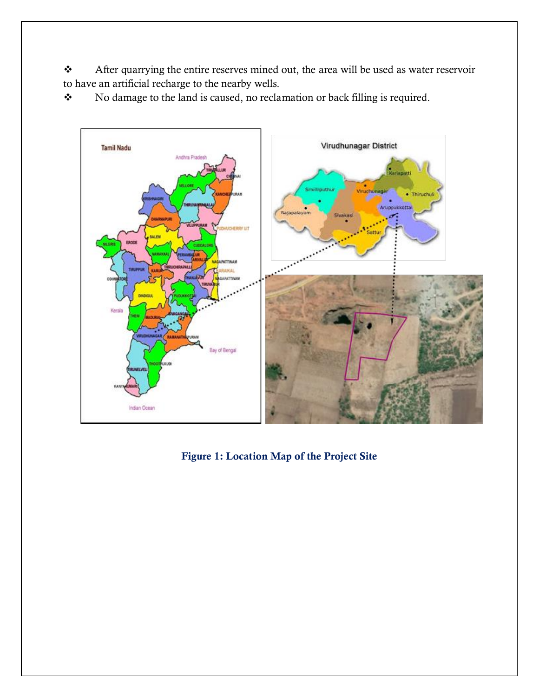❖ After quarrying the entire reserves mined out, the area will be used as water reservoir to have an artificial recharge to the nearby wells.

❖ No damage to the land is caused, no reclamation or back filling is required.



Figure 1: Location Map of the Project Site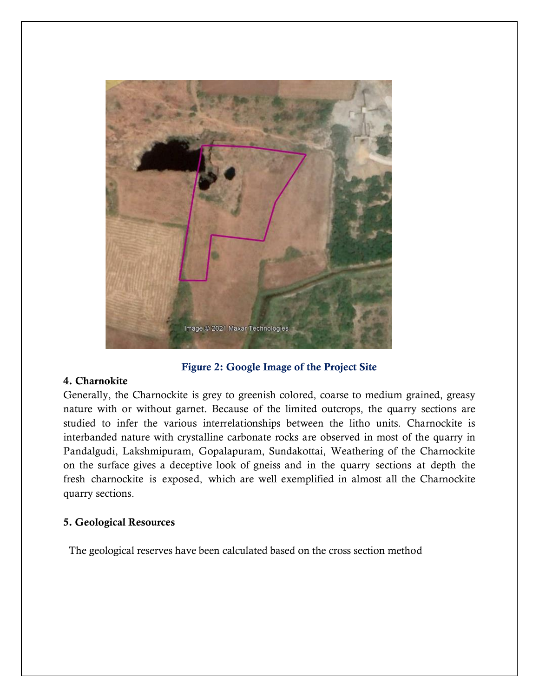

Figure 2: Google Image of the Project Site

#### 4. Charnokite

Generally, the Charnockite is grey to greenish colored, coarse to medium grained, greasy nature with or without garnet. Because of the limited outcrops, the quarry sections are studied to infer the various interrelationships between the litho units. Charnockite is interbanded nature with crystalline carbonate rocks are observed in most of the quarry in Pandalgudi, Lakshmipuram, Gopalapuram, Sundakottai, Weathering of the Charnockite on the surface gives a deceptive look of gneiss and in the quarry sections at depth the fresh charnockite is exposed, which are well exemplified in almost all the Charnockite quarry sections.

#### 5. Geological Resources

The geological reserves have been calculated based on the cross section method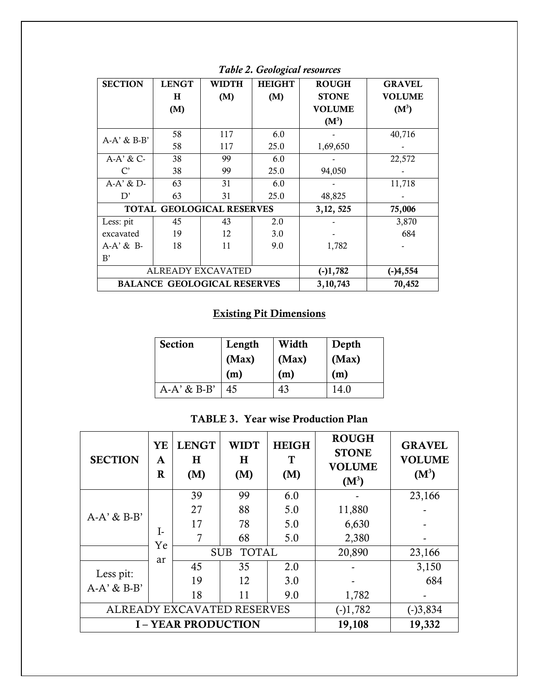| <b>SECTION</b>                   | <b>LENGT</b>             | <b>WIDTH</b>                       | <b>HEIGHT</b> | <b>ROUGH</b>  | <b>GRAVEL</b> |
|----------------------------------|--------------------------|------------------------------------|---------------|---------------|---------------|
|                                  | H                        | (M)                                | (M)           | <b>STONE</b>  | <b>VOLUME</b> |
|                                  | (M)                      |                                    |               | <b>VOLUME</b> | $(M^3)$       |
|                                  |                          |                                    |               | $(M^3)$       |               |
| $A-A' \& B-B'$                   | 58                       | 117                                | 6.0           |               | 40,716        |
|                                  | 58                       | 117                                | 25.0          | 1,69,650      |               |
| $A-A' \& C-$                     | 38                       | 99                                 | 6.0           |               | 22,572        |
| $\mathcal{C}'$                   | 38                       | 99                                 | 25.0          | 94,050        |               |
| $A-A' \& D-$                     | 63                       | 31                                 | 6.0           |               | 11,718        |
| D'                               | 63                       | 31                                 | 25.0          | 48,825        |               |
| <b>TOTAL GEOLOGICAL RESERVES</b> |                          |                                    |               | 3, 12, 525    | 75,006        |
| Less: pit                        | 45                       | 43                                 | 2.0           |               | 3,870         |
| excavated                        | 19                       | 12                                 | 3.0           |               | 684           |
| A-A' & B-                        | 18                       | 11                                 | 9.0           | 1,782         |               |
| B'                               |                          |                                    |               |               |               |
|                                  | <b>ALREADY EXCAVATED</b> | $(-)1,782$                         | $(-)4,554$    |               |               |
|                                  |                          | <b>BALANCE GEOLOGICAL RESERVES</b> | 3,10,743      | 70,452        |               |

*Table 2. Geological resources*

# Existing Pit Dimensions

| <b>Section</b> | Length | Width | Depth |
|----------------|--------|-------|-------|
|                | (Max)  | (Max) | (Max) |
|                | (m)    | (m)   | (m)   |
| $A-A' \& B-B'$ | 45     | 43    | 14.0  |

TABLE 3. Year wise Production Plan

| <b>SECTION</b>                     | YE<br>A<br>$\bf{R}$ | <b>LENGT</b><br>H<br>(M) | WIDT<br>$\bf H$<br>(M)     | <b>HEIGH</b><br>T<br>(M) | <b>ROUGH</b><br><b>STONE</b><br><b>VOLUME</b><br>$(M^3)$ | <b>GRAVEL</b><br><b>VOLUME</b><br>$(M^3)$ |
|------------------------------------|---------------------|--------------------------|----------------------------|--------------------------|----------------------------------------------------------|-------------------------------------------|
|                                    |                     | 39                       | 99                         | 6.0                      |                                                          | 23,166                                    |
| $A-A' \& B-B'$                     |                     | 27                       | 88                         | 5.0                      | 11,880                                                   |                                           |
|                                    |                     | 17                       | 78                         | 5.0                      | 6,630                                                    |                                           |
|                                    | I-<br>Ye            |                          | 68                         | 5.0                      | 2,380                                                    |                                           |
|                                    |                     |                          | <b>TOTAL</b><br><b>SUB</b> |                          | 20,890                                                   | 23,166                                    |
|                                    | ar                  | 45                       | 35                         | 2.0                      |                                                          | 3,150                                     |
| Less pit:<br>$A-A' \& B-B'$        |                     | 19                       | 12                         | 3.0                      |                                                          | 684                                       |
|                                    |                     | 18                       | 11                         | 9.0                      | 1,782                                                    |                                           |
| ALREADY EXCAVATED RESERVES         |                     |                          |                            |                          | $(-)1,782$                                               | $(-)3,834$                                |
| 19,108<br><b>I-YEAR PRODUCTION</b> |                     |                          |                            |                          | 19,332                                                   |                                           |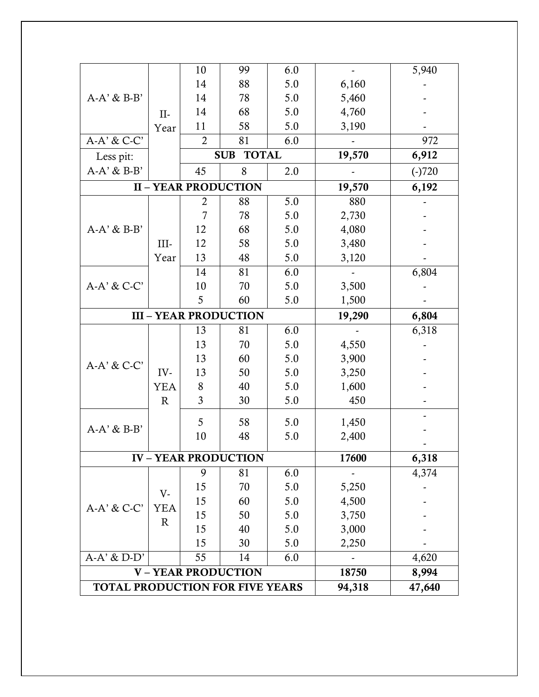|              | 10             | 99                          | 6.0                                                                       |              | 5,940           |
|--------------|----------------|-----------------------------|---------------------------------------------------------------------------|--------------|-----------------|
|              | 14             | 88                          | 5.0                                                                       | 6,160        |                 |
|              | 14             | 78                          | 5.0                                                                       | 5,460        |                 |
|              | 14             | 68                          | 5.0                                                                       | 4,760        |                 |
|              | 11             | 58                          | 5.0                                                                       | 3,190        |                 |
|              | $\overline{2}$ | 81                          | 6.0                                                                       |              | 972             |
|              |                |                             |                                                                           | 19,570       | 6,912           |
|              | 45             | 8                           | 2.0                                                                       |              | $(-)720$        |
|              |                |                             |                                                                           |              | 6,192           |
|              | $\overline{2}$ | 88                          | 5.0                                                                       | 880          |                 |
|              | 7              | 78                          | 5.0                                                                       |              |                 |
|              | 12             | 68                          | 5.0                                                                       | 4,080        |                 |
| III-         | 12             | 58                          | 5.0                                                                       | 3,480        |                 |
| Year         | 13             | 48                          | 5.0                                                                       | 3,120        |                 |
|              | 14             | 81                          | 6.0                                                                       |              | 6,804           |
|              | 10             | 70                          | 5.0                                                                       | 3,500        |                 |
|              | 5              | 60                          | 5.0                                                                       | 1,500        |                 |
|              |                |                             |                                                                           | 19,290       | 6,804           |
|              | 13             | 81                          | $6.0\,$                                                                   |              | 6,318           |
|              | 13             | 70                          | 5.0                                                                       | 4,550        |                 |
|              |                |                             | 5.0                                                                       | 3,900        |                 |
|              | 13             | 60                          |                                                                           |              |                 |
| IV-          | 13             | 50                          | 5.0                                                                       | 3,250        |                 |
| YEA          | $8\,$          | 40                          | 5.0                                                                       | 1,600        |                 |
| $\mathbb{R}$ | 3              | 30                          | 5.0                                                                       | 450          |                 |
|              |                |                             |                                                                           |              |                 |
|              | 5              | 58                          | 5.0                                                                       | 1,450        |                 |
|              | 10             | 48                          | 5.0                                                                       | 2,400        |                 |
|              |                | <b>IV – YEAR PRODUCTION</b> |                                                                           | 17600        | 6,318           |
|              | 9              | 81                          | 6.0                                                                       |              | 4,374           |
|              | 15             | 70                          | 5.0                                                                       | 5,250        |                 |
| V-           | 15             | 60                          | 5.0                                                                       | 4,500        |                 |
| <b>YEA</b>   | 15             | 50                          | 5.0                                                                       | 3,750        |                 |
| $\mathbf R$  | 15             | 40                          | 5.0                                                                       | 3,000        |                 |
|              | 15             | 30                          | 5.0                                                                       | 2,250        |                 |
|              | 55             | 14                          | 6.0                                                                       |              | 4,620           |
|              |                | <b>V-YEAR PRODUCTION</b>    |                                                                           | 18750        | 8,994           |
|              | $II-$<br>Year  |                             | <b>SUB</b><br><b>II - YEAR PRODUCTION</b><br><b>III - YEAR PRODUCTION</b> | <b>TOTAL</b> | 19,570<br>2,730 |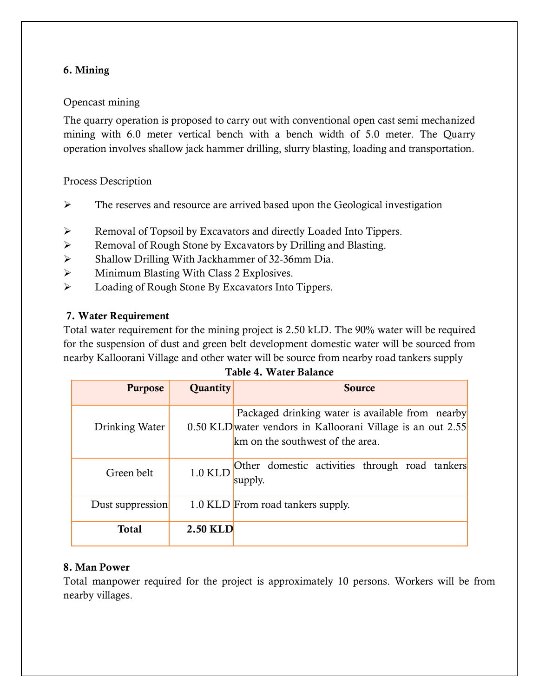## 6. Mining

## Opencast mining

The quarry operation is proposed to carry out with conventional open cast semi mechanized mining with 6.0 meter vertical bench with a bench width of 5.0 meter. The Quarry operation involves shallow jack hammer drilling, slurry blasting, loading and transportation.

Process Description

- ➢ The reserves and resource are arrived based upon the Geological investigation
- ➢ Removal of Topsoil by Excavators and directly Loaded Into Tippers.
- ➢ Removal of Rough Stone by Excavators by Drilling and Blasting.
- ➢ Shallow Drilling With Jackhammer of 32-36mm Dia.
- ➢ Minimum Blasting With Class 2 Explosives.
- ➢ Loading of Rough Stone By Excavators Into Tippers.

## 7. Water Requirement

Total water requirement for the mining project is 2.50 kLD. The 90% water will be required for the suspension of dust and green belt development domestic water will be sourced from nearby Kalloorani Village and other water will be source from nearby road tankers supply

| <b>Purpose</b>   | <b>Quantity</b> | <b>Source</b>                                                                                                                                       |
|------------------|-----------------|-----------------------------------------------------------------------------------------------------------------------------------------------------|
| Drinking Water   |                 | Packaged drinking water is available from nearby<br>0.50 KLD water vendors in Kalloorani Village is an out 2.55<br>km on the southwest of the area. |
| Green belt       | 1.0 KLD         | Other domestic activities through road tankers<br>supply.                                                                                           |
| Dust suppression |                 | 1.0 KLD From road tankers supply.                                                                                                                   |
| <b>Total</b>     | <b>2.50 KLD</b> |                                                                                                                                                     |

#### 8. Man Power

Total manpower required for the project is approximately 10 persons. Workers will be from nearby villages.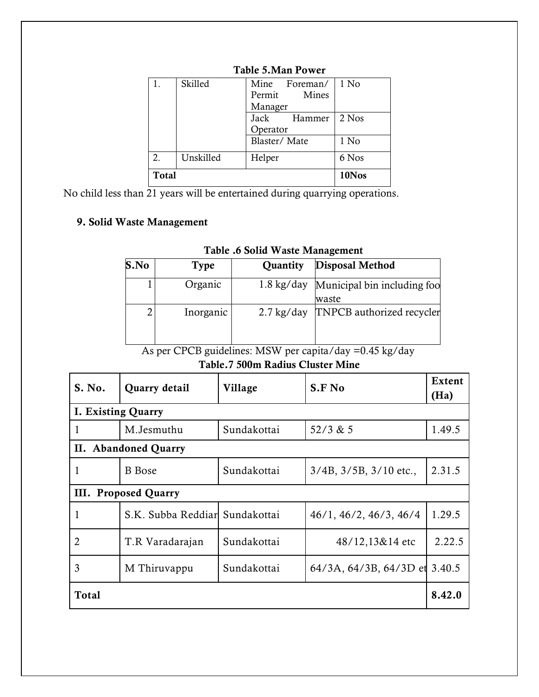| <b>Total</b> |           |                  | 10Nos |
|--------------|-----------|------------------|-------|
| 2.           | Unskilled | Helper           | 6 Nos |
|              |           | Blaster/Mate     | 1 No  |
|              |           | Operator         |       |
|              |           | Jack<br>Hammer   | 2 Nos |
|              |           | Manager          |       |
|              |           | Mines<br>Permit  |       |
|              | Skilled   | Mine<br>Foreman/ | 1 No  |

## Table 5.Man Power

No child less than 21 years will be entertained during quarrying operations.

## 9. Solid Waste Management

| S.No | <b>Type</b> | Quantity             | <b>Disposal Method</b>                          |
|------|-------------|----------------------|-------------------------------------------------|
|      | Organic     |                      | 1.8 kg/day Municipal bin including foo<br>waste |
| 2    | Inorganic   | $2.7 \text{ kg/day}$ | <b>TNPCB</b> authorized recycler                |

#### Table .6 Solid Waste Management

As per CPCB guidelines: MSW per capita/day =0.45 kg/day

## Table.7 500m Radius Cluster Mine

| S. No.                    | Quarry detail                  | Village     | S.F No                         | <b>Extent</b><br>(Ha) |  |  |
|---------------------------|--------------------------------|-------------|--------------------------------|-----------------------|--|--|
| <b>I. Existing Quarry</b> |                                |             |                                |                       |  |  |
| 1                         | M.Jesmuthu                     | Sundakottai | 52/3 & 5                       | 1.49.5                |  |  |
| П.                        | <b>Abandoned Quarry</b>        |             |                                |                       |  |  |
| 1                         | <b>B</b> Bose                  | Sundakottai | $3/4B$ , $3/5B$ , $3/10$ etc., | 2.31.5                |  |  |
|                           | III. Proposed Quarry           |             |                                |                       |  |  |
| 1                         | S.K. Subba Reddiar Sundakottai |             | 46/1, 46/2, 46/3, 46/4         | 1.29.5                |  |  |
| 2                         | T.R Varadarajan                | Sundakottai | 48/12,13&14 etc                | 2.22.5                |  |  |
| 3                         | M Thiruvappu                   | Sundakottai | $64/3A, 64/3B, 64/3D$ et       | 3.40.5                |  |  |
| <b>Total</b>              |                                |             |                                | 8.42.0                |  |  |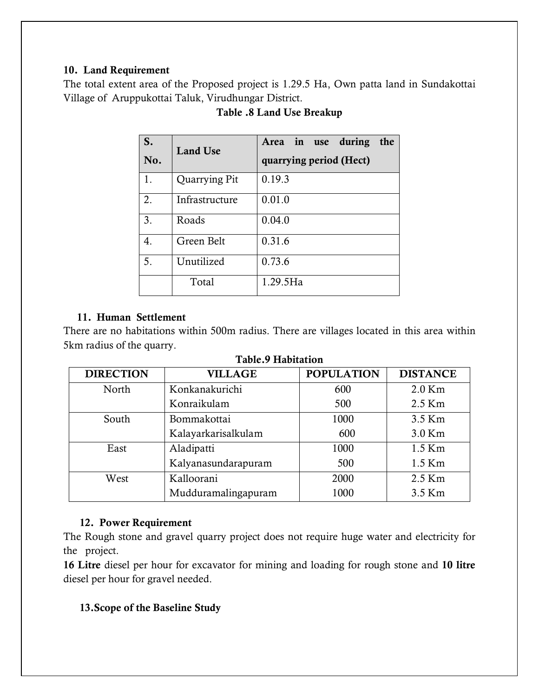## 10. Land Requirement

The total extent area of the Proposed project is 1.29.5 Ha, Own patta land in Sundakottai Village of Aruppukottai Taluk, Virudhungar District.

| S.  | <b>Land Use</b> | Area in use during<br>the |
|-----|-----------------|---------------------------|
| No. |                 | quarrying period (Hect)   |
| 1.  | Quarrying Pit   | 0.19.3                    |
| 2.  | Infrastructure  | 0.01.0                    |
| 3.  | Roads           | 0.04.0                    |
| 4.  | Green Belt      | 0.31.6                    |
| 5.  | Unutilized      | 0.73.6                    |
|     | Total           | 1.29.5Ha                  |

## Table .8 Land Use Breakup

## 11. Human Settlement

There are no habitations within 500m radius. There are villages located in this area within 5km radius of the quarry.

| <b>DIRECTION</b> | <b>VILLAGE</b>      | <b>POPULATION</b> | <b>DISTANCE</b> |
|------------------|---------------------|-------------------|-----------------|
| North            | Konkanakurichi      | 600               | $2.0$ Km        |
|                  | Konraikulam         | 500               | 2.5 Km          |
| South            | Bommakottai         | 1000              | 3.5 Km          |
|                  | Kalayarkarisalkulam | 600               | 3.0 Km          |
| East             | Aladipatti          | 1000              | $1.5$ Km        |
|                  | Kalyanasundarapuram | 500               | $1.5$ Km        |
| West             | Kalloorani          | 2000              | 2.5 Km          |
|                  | Mudduramalingapuram | 1000              | 3.5 Km          |
|                  |                     |                   |                 |

#### Table.9 Habitation

#### 12. Power Requirement

The Rough stone and gravel quarry project does not require huge water and electricity for the project.

16 Litre diesel per hour for excavator for mining and loading for rough stone and 10 litre diesel per hour for gravel needed.

## 13.Scope of the Baseline Study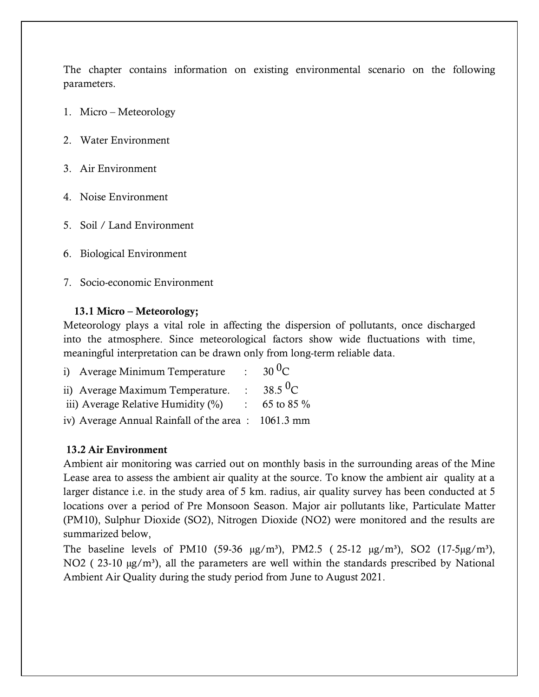The chapter contains information on existing environmental scenario on the following parameters.

- 1. Micro Meteorology
- 2. Water Environment
- 3. Air Environment
- 4. Noise Environment
- 5. Soil / Land Environment
- 6. Biological Environment
- 7. Socio-economic Environment

## 13.1 Micro – Meteorology;

Meteorology plays a vital role in affecting the dispersion of pollutants, once discharged into the atmosphere. Since meteorological factors show wide fluctuations with time, meaningful interpretation can be drawn only from long-term reliable data.

| i) Average Minimum Temperature                     | $\bullet$ .               | $30^{0}C$           |
|----------------------------------------------------|---------------------------|---------------------|
| ii) Average Maximum Temperature.                   | $\bullet$ .               | 38.5 <sup>0</sup> C |
| iii) Average Relative Humidity (%)                 | $\mathbb{Z}^{\mathbb{Z}}$ | 65 to 85 $\%$       |
| iv) Average Annual Rainfall of the area: 1061.3 mm |                           |                     |

## 13.2 Air Environment

Ambient air monitoring was carried out on monthly basis in the surrounding areas of the Mine Lease area to assess the ambient air quality at the source. To know the ambient air quality at a larger distance i.e. in the study area of 5 km. radius, air quality survey has been conducted at 5 locations over a period of Pre Monsoon Season. Major air pollutants like, Particulate Matter (PM10), Sulphur Dioxide (SO2), Nitrogen Dioxide (NO2) were monitored and the results are summarized below,

The baseline levels of PM10 (59-36  $\mu$ g/m<sup>3</sup>), PM2.5 (25-12  $\mu$ g/m<sup>3</sup>), SO2 (17-5 $\mu$ g/m<sup>3</sup>), NO2 ( $23-10 \mu$ g/m<sup>3</sup>), all the parameters are well within the standards prescribed by National Ambient Air Quality during the study period from June to August 2021.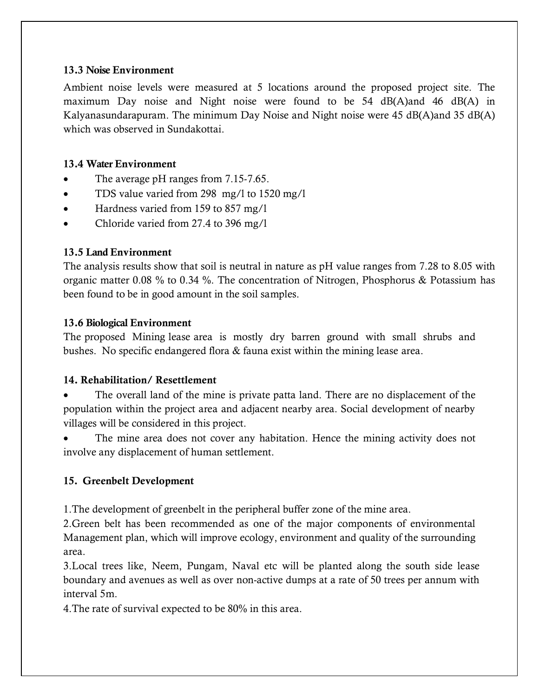#### 13.3 Noise Environment

Ambient noise levels were measured at 5 locations around the proposed project site. The maximum Day noise and Night noise were found to be 54 dB(A)and 46 dB(A) in Kalyanasundarapuram. The minimum Day Noise and Night noise were 45 dB(A)and 35 dB(A) which was observed in Sundakottai.

## 13.4 Water Environment

- The average pH ranges from 7.15-7.65.
- TDS value varied from 298 mg/l to 1520 mg/l
- Hardness varied from 159 to 857 mg/1
- Chloride varied from 27.4 to 396 mg/l

## 13.5 Land Environment

The analysis results show that soil is neutral in nature as pH value ranges from 7.28 to 8.05 with organic matter 0.08 % to 0.34 %. The concentration of Nitrogen, Phosphorus & Potassium has been found to be in good amount in the soil samples.

## 13.6 Biological Environment

The proposed Mining lease area is mostly dry barren ground with small shrubs and bushes. No specific endangered flora & fauna exist within the mining lease area.

## 14. Rehabilitation/ Resettlement

The overall land of the mine is private patta land. There are no displacement of the population within the project area and adjacent nearby area. Social development of nearby villages will be considered in this project.

The mine area does not cover any habitation. Hence the mining activity does not involve any displacement of human settlement.

## 15. Greenbelt Development

1.The development of greenbelt in the peripheral buffer zone of the mine area.

2.Green belt has been recommended as one of the major components of environmental Management plan, which will improve ecology, environment and quality of the surrounding area.

3.Local trees like, Neem, Pungam, Naval etc will be planted along the south side lease boundary and avenues as well as over non-active dumps at a rate of 50 trees per annum with interval 5m.

4.The rate of survival expected to be 80% in this area.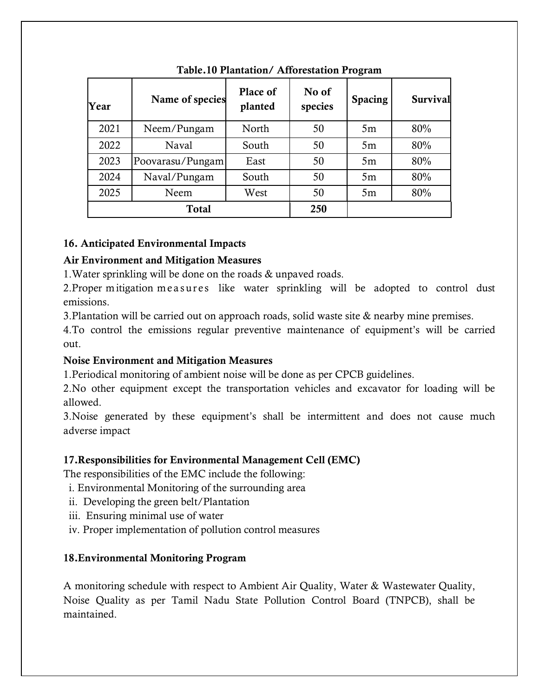| Year         | Name of species  | Place of<br>planted | No of<br>species | <b>Spacing</b> | <b>Survival</b> |
|--------------|------------------|---------------------|------------------|----------------|-----------------|
| 2021         | Neem/Pungam      | North               | 50               | 5m             | 80%             |
| 2022         | Naval            | South               | 50               | 5m             | 80%             |
| 2023         | Poovarasu/Pungam | East                | 50               | 5m             | 80%             |
| 2024         | Naval/Pungam     | South               | 50               | 5m             | 80%             |
| 2025         | Neem             | West                | 50               | 5m             | 80%             |
| <b>Total</b> |                  |                     | 250              |                |                 |

## Table.10 Plantation/ Afforestation Program

## 16. Anticipated Environmental Impacts

## Air Environment and Mitigation Measures

1.Water sprinkling will be done on the roads & unpaved roads.

2. Proper mitigation measures like water sprinkling will be adopted to control dust emissions.

3.Plantation will be carried out on approach roads, solid waste site & nearby mine premises.

4.To control the emissions regular preventive maintenance of equipment's will be carried out.

## Noise Environment and Mitigation Measures

1.Periodical monitoring of ambient noise will be done as per CPCB guidelines.

2.No other equipment except the transportation vehicles and excavator for loading will be allowed.

3.Noise generated by these equipment's shall be intermittent and does not cause much adverse impact

## 17.Responsibilities for Environmental Management Cell (EMC)

The responsibilities of the EMC include the following:

- i. Environmental Monitoring of the surrounding area
- ii. Developing the green belt/Plantation
- iii. Ensuring minimal use of water
- iv. Proper implementation of pollution control measures

## 18.Environmental Monitoring Program

A monitoring schedule with respect to Ambient Air Quality, Water & Wastewater Quality, Noise Quality as per Tamil Nadu State Pollution Control Board (TNPCB), shall be maintained.